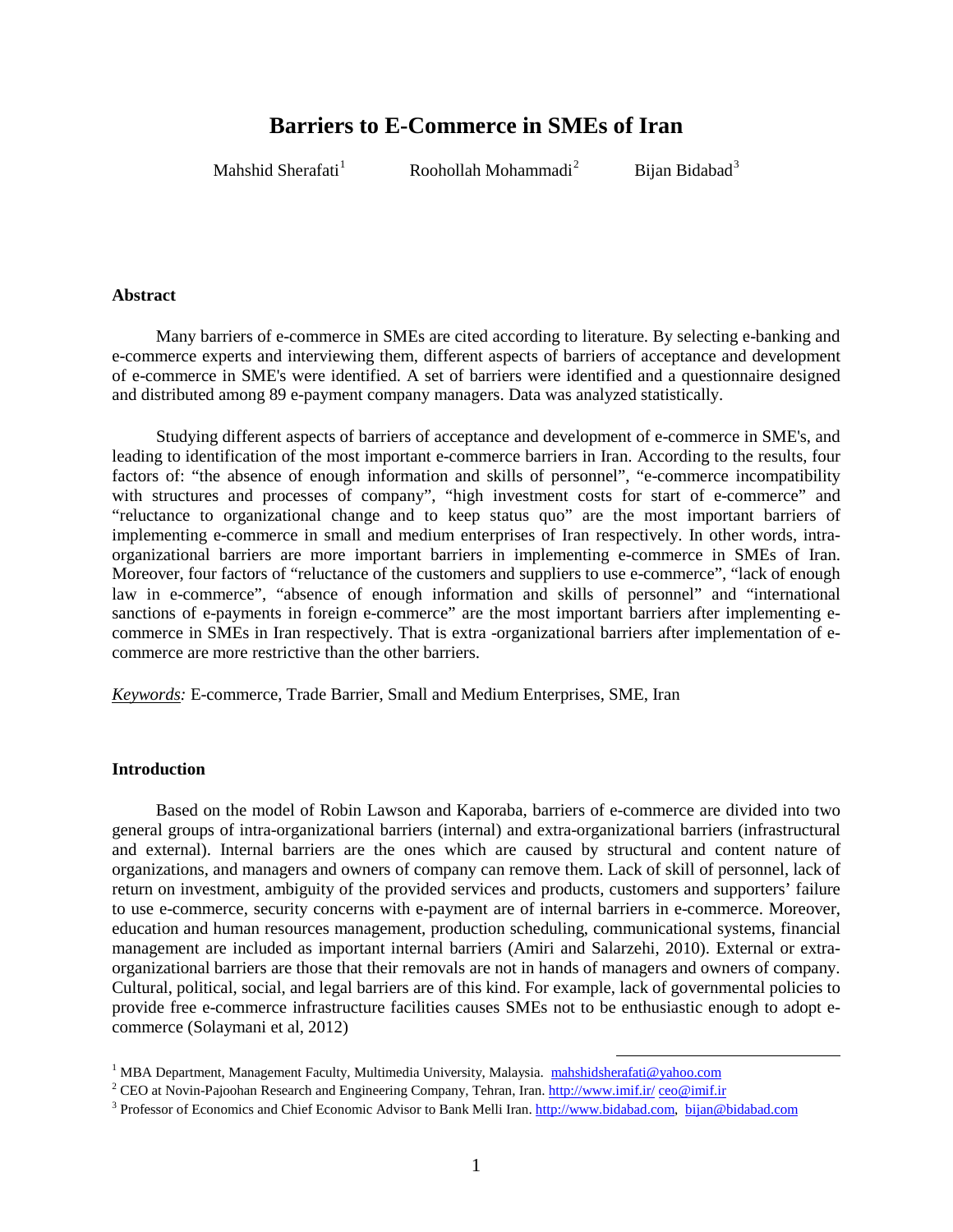# **Barriers to E-Commerce in SMEs of Iran**

Mahshid Sherafati<sup>1</sup>

Roohollah Mohammadi*1F*

<sup>2</sup> Bijan Bidabad<sup>3</sup>

#### **Abstract**

Many barriers of e-commerce in SMEs are cited according to literature. By selecting e-banking and e-commerce experts and interviewing them, different aspects of barriers of acceptance and development of e-commerce in SME's were identified. A set of barriers were identified and a questionnaire designed and distributed among 89 e-payment company managers. Data was analyzed statistically.

Studying different aspects of barriers of acceptance and development of e-commerce in SME's, and leading to identification of the most important e-commerce barriers in Iran. According to the results, four factors of: "the absence of enough information and skills of personnel", "e-commerce incompatibility with structures and processes of company", "high investment costs for start of e-commerce" and "reluctance to organizational change and to keep status quo" are the most important barriers of implementing e-commerce in small and medium enterprises of Iran respectively. In other words, intraorganizational barriers are more important barriers in implementing e-commerce in SMEs of Iran. Moreover, four factors of "reluctance of the customers and suppliers to use e-commerce", "lack of enough law in e-commerce", "absence of enough information and skills of personnel" and "international sanctions of e-payments in foreign e-commerce" are the most important barriers after implementing ecommerce in SMEs in Iran respectively. That is extra -organizational barriers after implementation of ecommerce are more restrictive than the other barriers.

*Keywords:* E-commerce, Trade Barrier, Small and Medium Enterprises, SME, Iran

### **Introduction**

Based on the model of Robin Lawson and Kaporaba, barriers of e-commerce are divided into two general groups of intra-organizational barriers (internal) and extra-organizational barriers (infrastructural and external). Internal barriers are the ones which are caused by structural and content nature of organizations, and managers and owners of company can remove them. Lack of skill of personnel, lack of return on investment, ambiguity of the provided services and products, customers and supporters' failure to use e-commerce, security concerns with e-payment are of internal barriers in e-commerce. Moreover, education and human resources management, production scheduling, communicational systems, financial management are included as important internal barriers (Amiri and Salarzehi, 2010). External or extraorganizational barriers are those that their removals are not in hands of managers and owners of company. Cultural, political, social, and legal barriers are of this kind. For example, lack of governmental policies to provide free e-commerce infrastructure facilities causes SMEs not to be enthusiastic enough to adopt ecommerce (Solaymani et al, 2012)

1

<sup>&</sup>lt;sup>1</sup> MBA Department, Management Faculty, Multimedia University, Malaysia. [mahshidsherafati@yahoo.com](mailto:mahshidsherafati@yahoo.com)

<sup>&</sup>lt;sup>2</sup> CEO at Novin-Pajoohan Research and Engineering Company, Tehran, Iran[. http://www.imif.ir/](http://www.imif.ir/) [ceo@imif.ir](mailto:ceo@imif.ir)

<sup>3</sup> Professor of Economics and Chief Economic Advisor to Bank Melli Iran. [http://www.bidabad.com,](http://www.bidabad.com/) [bijan@bidabad.com](mailto:bijan@bidabad.com)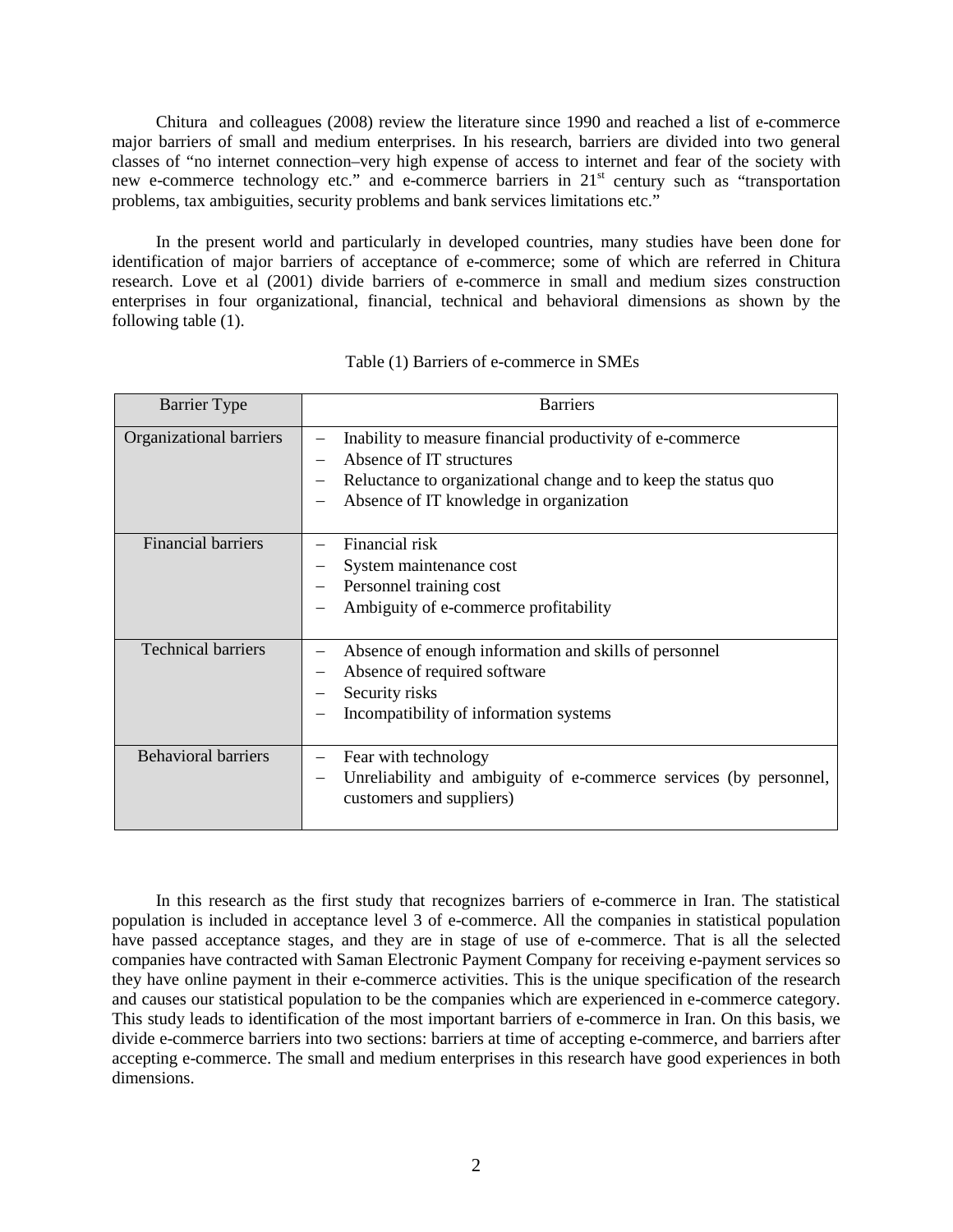Chitura and colleagues (2008) review the literature since 1990 and reached a list of e-commerce major barriers of small and medium enterprises. In his research, barriers are divided into two general classes of "no internet connection–very high expense of access to internet and fear of the society with new e-commerce technology etc." and e-commerce barriers in 21<sup>st</sup> century such as "transportation" problems, tax ambiguities, security problems and bank services limitations etc."

In the present world and particularly in developed countries, many studies have been done for identification of major barriers of acceptance of e-commerce; some of which are referred in Chitura research. Love et al (2001) divide barriers of e-commerce in small and medium sizes construction enterprises in four organizational, financial, technical and behavioral dimensions as shown by the following table (1).

| <b>Barrier</b> Type        | <b>Barriers</b>                                                                                                                                                                                    |
|----------------------------|----------------------------------------------------------------------------------------------------------------------------------------------------------------------------------------------------|
| Organizational barriers    | Inability to measure financial productivity of e-commerce<br>Absence of IT structures<br>Reluctance to organizational change and to keep the status quo<br>Absence of IT knowledge in organization |
| <b>Financial barriers</b>  | Financial risk<br>System maintenance cost<br>Personnel training cost<br>Ambiguity of e-commerce profitability                                                                                      |
| <b>Technical barriers</b>  | Absence of enough information and skills of personnel<br>Absence of required software<br>Security risks<br>Incompatibility of information systems                                                  |
| <b>Behavioral barriers</b> | Fear with technology<br>Unreliability and ambiguity of e-commerce services (by personnel,<br>customers and suppliers)                                                                              |

Table (1) Barriers of e-commerce in SMEs

In this research as the first study that recognizes barriers of e-commerce in Iran. The statistical population is included in acceptance level 3 of e-commerce. All the companies in statistical population have passed acceptance stages, and they are in stage of use of e-commerce. That is all the selected companies have contracted with Saman Electronic Payment Company for receiving e-payment services so they have online payment in their e-commerce activities. This is the unique specification of the research and causes our statistical population to be the companies which are experienced in e-commerce category. This study leads to identification of the most important barriers of e-commerce in Iran. On this basis, we divide e-commerce barriers into two sections: barriers at time of accepting e-commerce, and barriers after accepting e-commerce. The small and medium enterprises in this research have good experiences in both dimensions.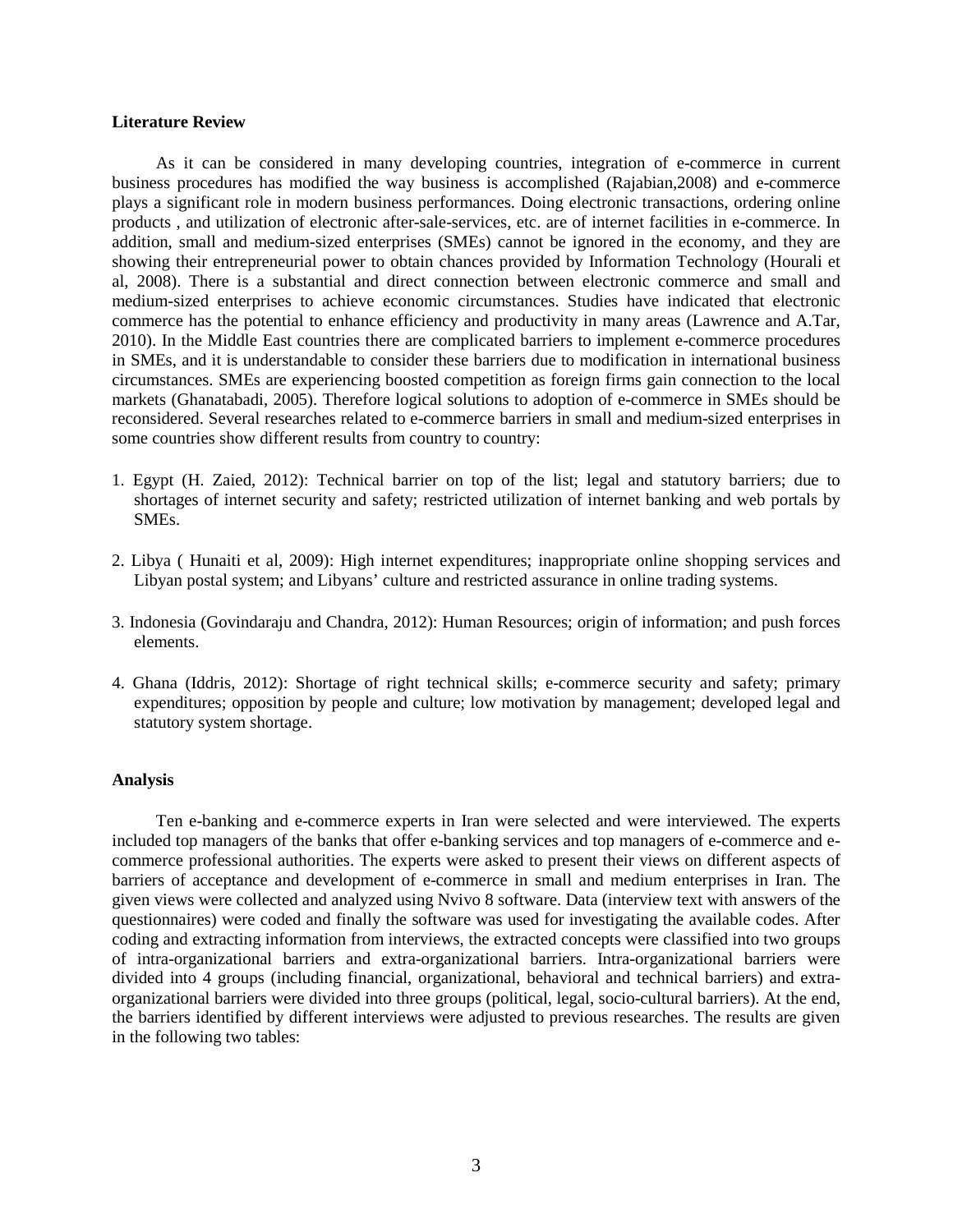#### **Literature Review**

As it can be considered in many developing countries, integration of e-commerce in current business procedures has modified the way business is accomplished (Rajabian,2008) and e-commerce plays a significant role in modern business performances. Doing electronic transactions, ordering online products , and utilization of electronic after-sale-services, etc. are of internet facilities in e-commerce. In addition, small and medium-sized enterprises (SMEs) cannot be ignored in the economy, and they are showing their entrepreneurial power to obtain chances provided by Information Technology (Hourali et al, 2008). There is a substantial and direct connection between electronic commerce and small and medium-sized enterprises to achieve economic circumstances. Studies have indicated that electronic commerce has the potential to enhance efficiency and productivity in many areas (Lawrence and A.Tar, 2010). In the Middle East countries there are complicated barriers to implement e-commerce procedures in SMEs, and it is understandable to consider these barriers due to modification in international business circumstances. SMEs are experiencing boosted competition as foreign firms gain connection to the local markets (Ghanatabadi, 2005). Therefore logical solutions to adoption of e-commerce in SMEs should be reconsidered. Several researches related to e-commerce barriers in small and medium-sized enterprises in some countries show different results from country to country:

- 1. Egypt (H. Zaied, 2012): Technical barrier on top of the list; legal and statutory barriers; due to shortages of internet security and safety; restricted utilization of internet banking and web portals by SMEs.
- 2. Libya ( Hunaiti et al, 2009): High internet expenditures; inappropriate online shopping services and Libyan postal system; and Libyans' culture and restricted assurance in online trading systems.
- 3. Indonesia (Govindaraju and Chandra, 2012): Human Resources; origin of information; and push forces elements.
- 4. Ghana (Iddris, 2012): Shortage of right technical skills; e-commerce security and safety; primary expenditures; opposition by people and culture; low motivation by management; developed legal and statutory system shortage.

### **Analysis**

Ten e-banking and e-commerce experts in Iran were selected and were interviewed. The experts included top managers of the banks that offer e-banking services and top managers of e-commerce and ecommerce professional authorities. The experts were asked to present their views on different aspects of barriers of acceptance and development of e-commerce in small and medium enterprises in Iran. The given views were collected and analyzed using Nvivo 8 software. Data (interview text with answers of the questionnaires) were coded and finally the software was used for investigating the available codes. After coding and extracting information from interviews, the extracted concepts were classified into two groups of intra-organizational barriers and extra-organizational barriers. Intra-organizational barriers were divided into 4 groups (including financial, organizational, behavioral and technical barriers) and extraorganizational barriers were divided into three groups (political, legal, socio-cultural barriers). At the end, the barriers identified by different interviews were adjusted to previous researches. The results are given in the following two tables: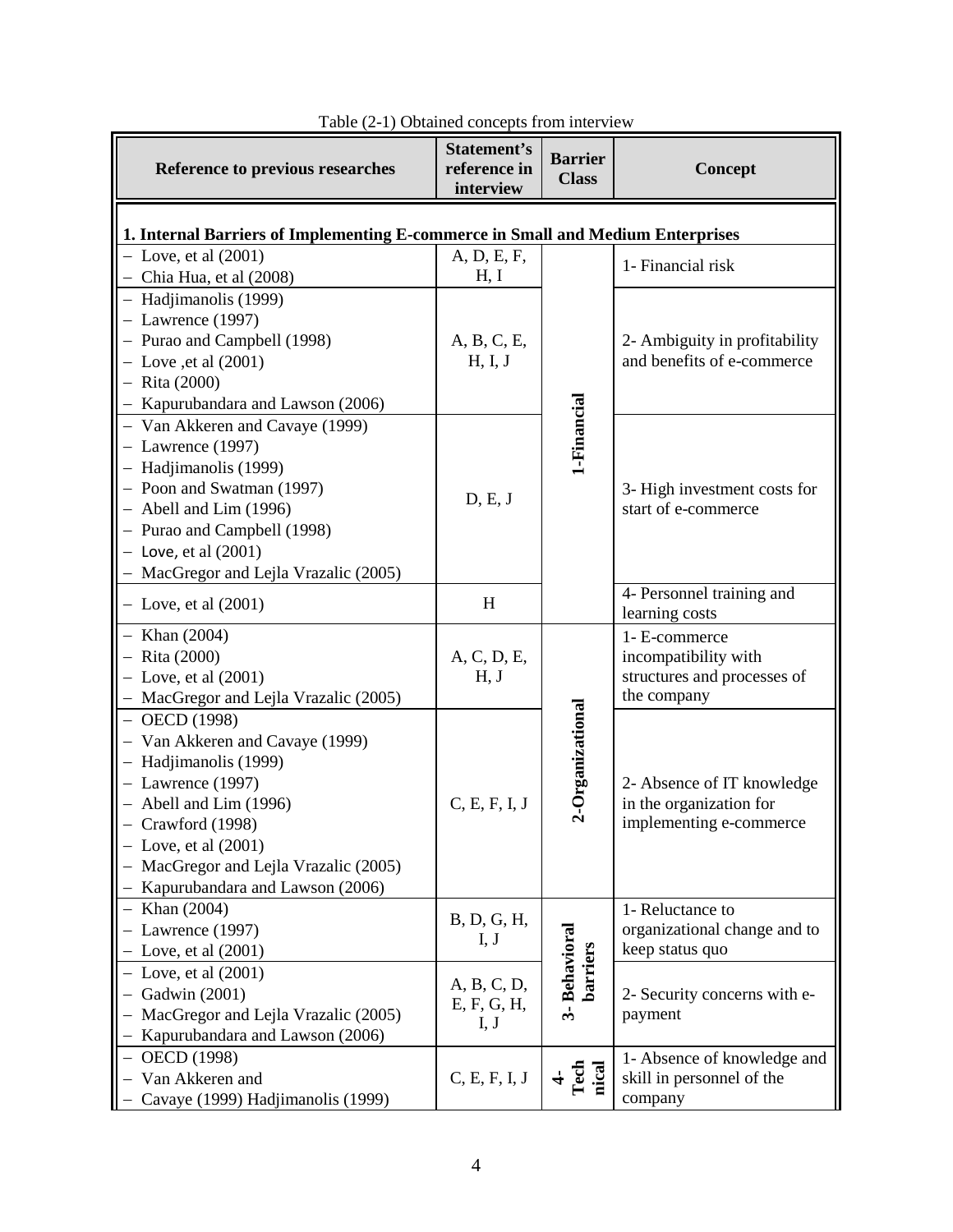| Reference to previous researches                                                                                                                                                                                                                | <b>Statement's</b><br>reference in<br>interview | <b>Barrier</b><br><b>Class</b>      | <b>Concept</b>                                                                      |  |  |  |
|-------------------------------------------------------------------------------------------------------------------------------------------------------------------------------------------------------------------------------------------------|-------------------------------------------------|-------------------------------------|-------------------------------------------------------------------------------------|--|--|--|
| 1. Internal Barriers of Implementing E-commerce in Small and Medium Enterprises                                                                                                                                                                 |                                                 |                                     |                                                                                     |  |  |  |
| $-$ Love, et al $(2001)$<br>- Chia Hua, et al (2008)                                                                                                                                                                                            | A, D, E, F,<br>H, I                             |                                     | 1- Financial risk                                                                   |  |  |  |
| - Hadjimanolis (1999)<br>$-$ Lawrence (1997)<br>- Purao and Campbell (1998)<br>$-$ Love , et al $(2001)$<br>$-$ Rita (2000)<br>- Kapurubandara and Lawson (2006)                                                                                | A, B, C, E,<br>H, I, J                          |                                     | 2- Ambiguity in profitability<br>and benefits of e-commerce                         |  |  |  |
| - Van Akkeren and Cavaye (1999)<br>$-$ Lawrence (1997)<br>- Hadjimanolis (1999)<br>- Poon and Swatman (1997)<br>- Abell and Lim (1996)<br>- Purao and Campbell (1998)<br>$-$ Love, et al $(2001)$<br>- MacGregor and Lejla Vrazalic (2005)      | D, E, J                                         | 1-Financial                         | 3- High investment costs for<br>start of e-commerce                                 |  |  |  |
| $-$ Love, et al $(2001)$                                                                                                                                                                                                                        | H                                               |                                     | 4- Personnel training and<br>learning costs                                         |  |  |  |
| - Khan $(2004)$<br>$-$ Rita (2000)<br>$-$ Love, et al $(2001)$<br>MacGregor and Lejla Vrazalic (2005)                                                                                                                                           | A, C, D, E,<br>H, J                             |                                     | 1- E-commerce<br>incompatibility with<br>structures and processes of<br>the company |  |  |  |
| $-$ OECD (1998)<br>- Van Akkeren and Cavaye (1999)<br>- Hadjimanolis (1999)<br>$-$ Lawrence (1997)<br>Abell and Lim (1996)<br>Crawford (1998)<br>Love, et al $(2001)$<br>MacGregor and Lejla Vrazalic (2005)<br>Kapurubandara and Lawson (2006) | C, E, F, I, J                                   | 2-Organizational                    | 2- Absence of IT knowledge<br>in the organization for<br>implementing e-commerce    |  |  |  |
| - Khan $(2004)$<br>Lawrence (1997)<br>Love, et al $(2001)$                                                                                                                                                                                      | B, D, G, H,<br>I, J                             |                                     | 1- Reluctance to<br>organizational change and to<br>keep status quo                 |  |  |  |
| $-$ Love, et al $(2001)$<br>$-$ Gadwin (2001)<br>- MacGregor and Lejla Vrazalic (2005)<br>Kapurubandara and Lawson (2006)                                                                                                                       | A, B, C, D,<br>E, F, G, H,<br>I, J              | <b>Behavioral</b><br>barriers<br>ಳು | 2- Security concerns with e-<br>payment                                             |  |  |  |
| $-$ OECD (1998)<br>Van Akkeren and<br>Cavaye (1999) Hadjimanolis (1999)                                                                                                                                                                         | C, E, F, I, J                                   | Tech<br>nical                       | 1- Absence of knowledge and<br>skill in personnel of the<br>company                 |  |  |  |

Table (2-1) Obtained concepts from interview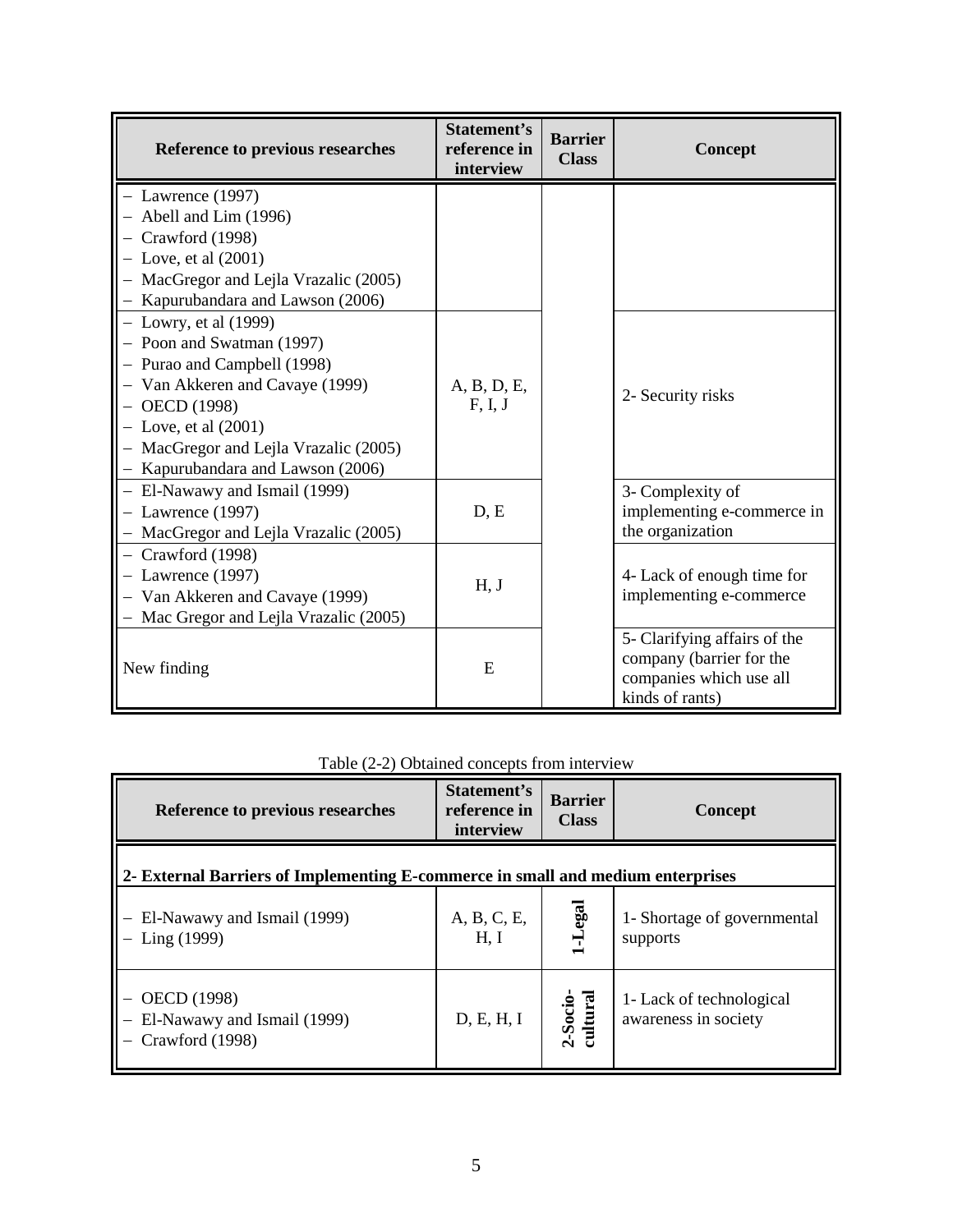| Reference to previous researches       | Statement's<br>reference in<br>interview | <b>Barrier</b><br><b>Class</b> | <b>Concept</b>                                                                                         |  |
|----------------------------------------|------------------------------------------|--------------------------------|--------------------------------------------------------------------------------------------------------|--|
| $-$ Lawrence (1997)                    |                                          |                                |                                                                                                        |  |
| Abell and Lim (1996)                   |                                          |                                |                                                                                                        |  |
| Crawford (1998)                        |                                          |                                |                                                                                                        |  |
| Love, et al $(2001)$                   |                                          |                                |                                                                                                        |  |
| MacGregor and Lejla Vrazalic (2005)    |                                          |                                |                                                                                                        |  |
| - Kapurubandara and Lawson (2006)      |                                          |                                |                                                                                                        |  |
| $-$ Lowry, et al $(1999)$              |                                          |                                |                                                                                                        |  |
| - Poon and Swatman (1997)              |                                          |                                |                                                                                                        |  |
| - Purao and Campbell (1998)            |                                          |                                |                                                                                                        |  |
| Van Akkeren and Cavaye (1999)          | A, B, D, E,                              |                                |                                                                                                        |  |
| <b>OECD</b> (1998)                     | F, I, J                                  |                                | 2- Security risks                                                                                      |  |
| $-$ Love, et al $(2001)$               |                                          |                                |                                                                                                        |  |
| MacGregor and Lejla Vrazalic (2005)    |                                          |                                |                                                                                                        |  |
| - Kapurubandara and Lawson (2006)      |                                          |                                |                                                                                                        |  |
| - El-Nawawy and Ismail (1999)          |                                          |                                | 3- Complexity of                                                                                       |  |
| - Lawrence $(1997)$                    | D, E                                     |                                | implementing e-commerce in                                                                             |  |
| - MacGregor and Lejla Vrazalic (2005)  |                                          |                                | the organization                                                                                       |  |
| - Crawford (1998)                      |                                          |                                |                                                                                                        |  |
| Lawrence (1997)                        | H, J                                     |                                | 4- Lack of enough time for                                                                             |  |
| - Van Akkeren and Cavaye (1999)        |                                          |                                | implementing e-commerce                                                                                |  |
| - Mac Gregor and Lejla Vrazalic (2005) |                                          |                                |                                                                                                        |  |
| New finding                            | E                                        |                                | 5- Clarifying affairs of the<br>company (barrier for the<br>companies which use all<br>kinds of rants) |  |

## Table (2-2) Obtained concepts from interview

| Reference to previous researches                                     | Statement's<br>reference in<br>interview                                        | <b>Barrier</b><br><b>Class</b> | Concept                                          |  |  |  |
|----------------------------------------------------------------------|---------------------------------------------------------------------------------|--------------------------------|--------------------------------------------------|--|--|--|
|                                                                      | 2- External Barriers of Implementing E-commerce in small and medium enterprises |                                |                                                  |  |  |  |
| El-Nawawy and Ismail (1999)<br>Ling (1999)                           | A, B, C, E,<br>H. I                                                             | egal                           | 1- Shortage of governmental<br>supports          |  |  |  |
| <b>OECD</b> (1998)<br>El-Nawawy and Ismail (1999)<br>Crawford (1998) | D, E, H, I                                                                      | 2-Socio-<br>cultural           | 1- Lack of technological<br>awareness in society |  |  |  |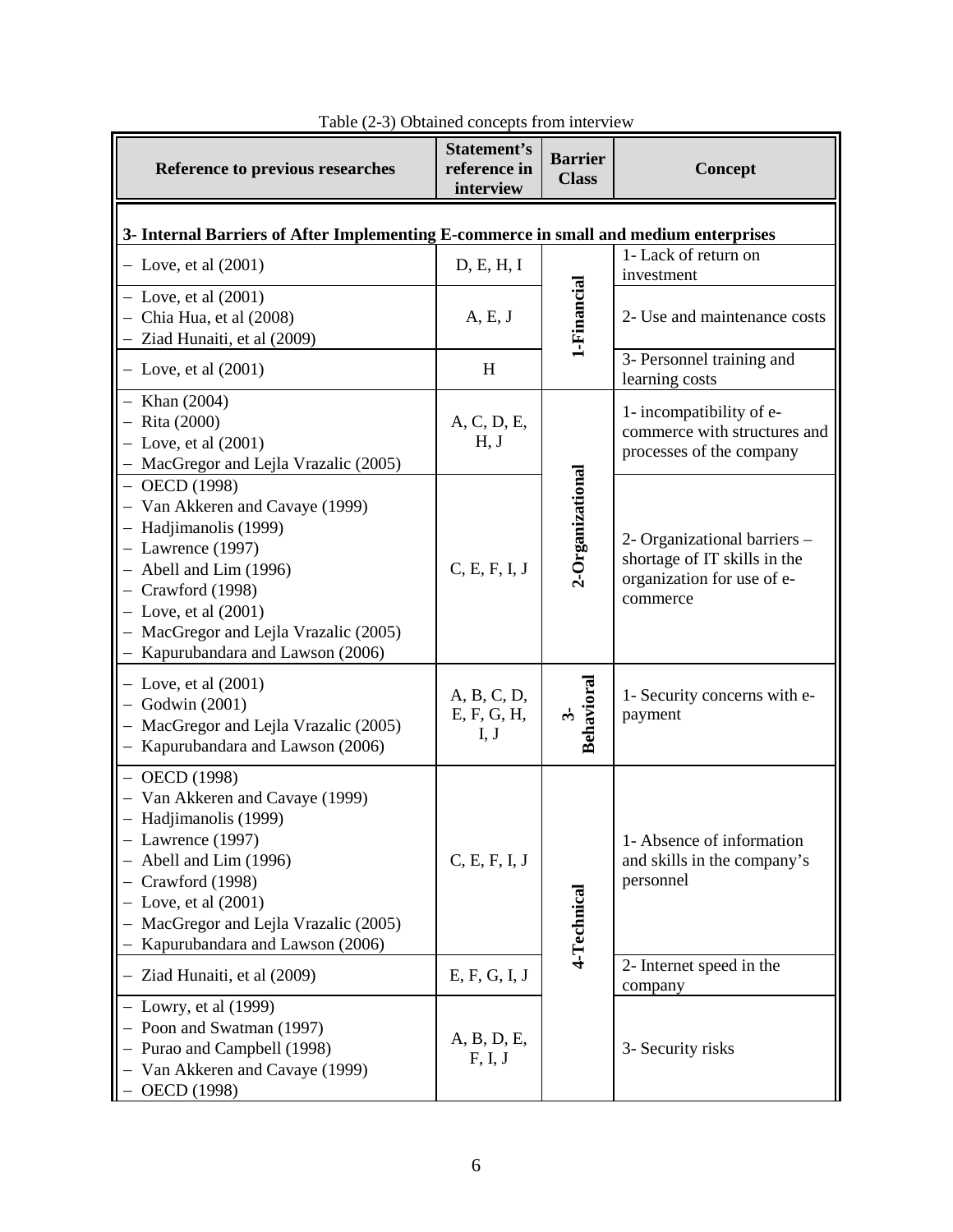| Reference to previous researches                                                                                                                                                                                                                            | Statement's<br>reference in<br>interview | <b>Barrier</b><br><b>Class</b> | Concept                                                                                                |
|-------------------------------------------------------------------------------------------------------------------------------------------------------------------------------------------------------------------------------------------------------------|------------------------------------------|--------------------------------|--------------------------------------------------------------------------------------------------------|
| 3- Internal Barriers of After Implementing E-commerce in small and medium enterprises                                                                                                                                                                       |                                          |                                |                                                                                                        |
| $-$ Love, et al $(2001)$                                                                                                                                                                                                                                    | D, E, H, I                               |                                | 1- Lack of return on<br>investment                                                                     |
| $-$ Love, et al $(2001)$<br>- Chia Hua, et al (2008)<br>- Ziad Hunaiti, et al (2009)                                                                                                                                                                        | A, E, J                                  | 1-Financial                    | 2- Use and maintenance costs                                                                           |
| $-$ Love, et al $(2001)$                                                                                                                                                                                                                                    | H                                        |                                | 3- Personnel training and<br>learning costs                                                            |
| - Khan $(2004)$<br>$-$ Rita (2000)<br>$-$ Love, et al $(2001)$<br>- MacGregor and Lejla Vrazalic (2005)                                                                                                                                                     | A, C, D, E,<br>H, J                      |                                | 1- incompatibility of e-<br>commerce with structures and<br>processes of the company                   |
| $-$ OECD (1998)<br>- Van Akkeren and Cavaye (1999)<br>- Hadjimanolis (1999)<br>$-$ Lawrence (1997)<br>- Abell and Lim (1996)<br>- Crawford (1998)<br>$-$ Love, et al $(2001)$<br>- MacGregor and Lejla Vrazalic (2005)<br>- Kapurubandara and Lawson (2006) | C, E, F, I, J                            | 2-Organizational               | 2- Organizational barriers -<br>shortage of IT skills in the<br>organization for use of e-<br>commerce |
| $-$ Love, et al $(2001)$<br>$-$ Godwin (2001)<br>- MacGregor and Lejla Vrazalic (2005)<br>- Kapurubandara and Lawson (2006)                                                                                                                                 | A, B, C, D,<br>E, F, G, H,<br>I, J       | Behavioral                     | 1- Security concerns with e-<br>payment                                                                |
| $-$ OECD (1998)<br>Van Akkeren and Cavaye (1999)<br>Hadjimanolis (1999)<br>Lawrence (1997)<br>Abell and Lim (1996)<br>Crawford (1998)<br>Love, et al $(2001)$<br>MacGregor and Lejla Vrazalic (2005)<br>Kapurubandara and Lawson (2006)                     | C, E, F, I, J                            | 4-Technical                    | 1- Absence of information<br>and skills in the company's<br>personnel                                  |
| - Ziad Hunaiti, et al (2009)                                                                                                                                                                                                                                | E, F, G, I, J                            |                                | 2- Internet speed in the<br>company                                                                    |
| Lowry, et al (1999)<br>Poon and Swatman (1997)<br>Purao and Campbell (1998)<br>Van Akkeren and Cavaye (1999)<br>OECD (1998)                                                                                                                                 | A, B, D, E,<br>F, I, J                   |                                | 3- Security risks                                                                                      |

| Table (2-3) Obtained concepts from interview |  |
|----------------------------------------------|--|
|----------------------------------------------|--|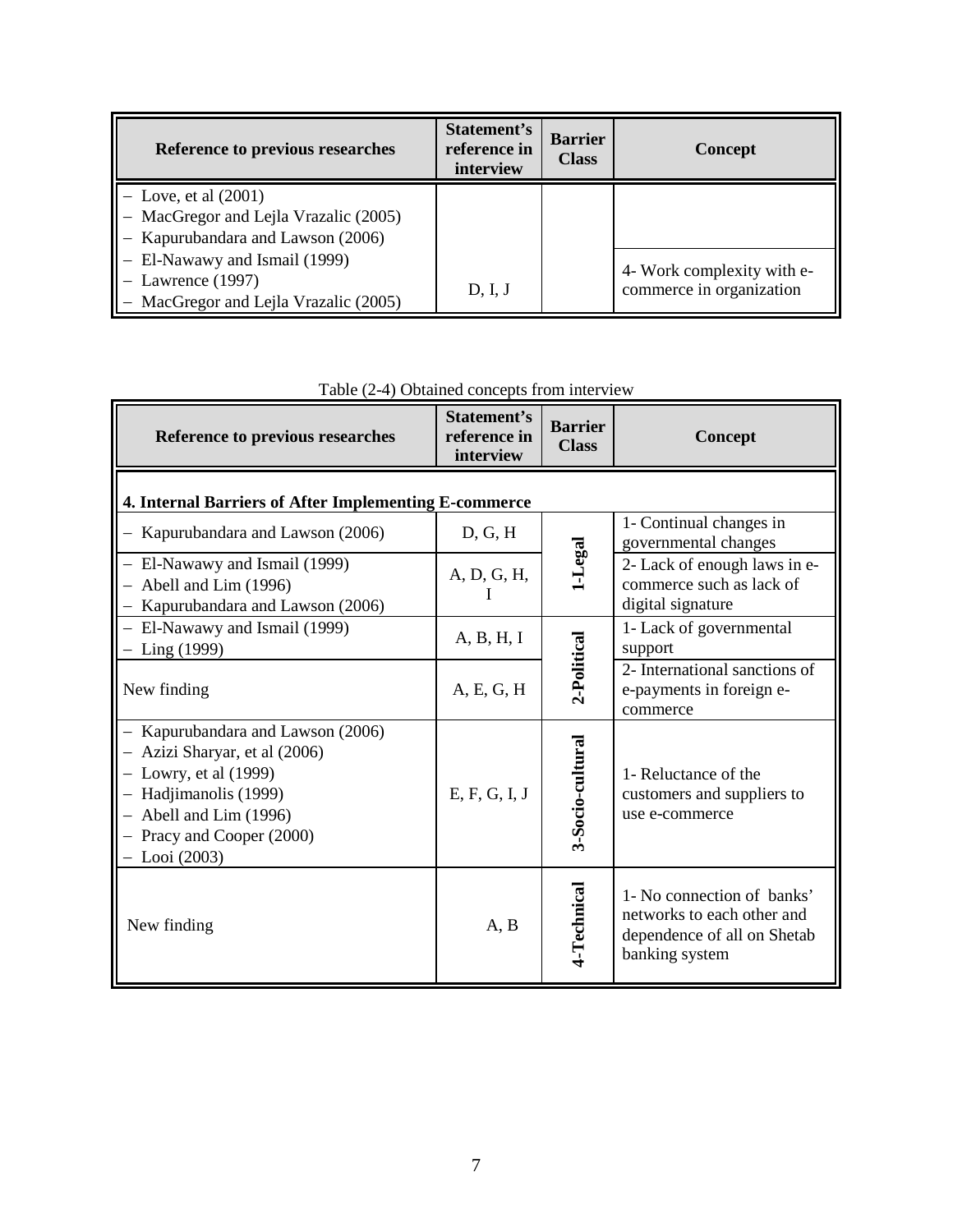| Reference to previous researches                                                                       | Statement's<br>reference in<br>interview | <b>Barrier</b><br><b>Class</b> | <b>Concept</b>                                         |
|--------------------------------------------------------------------------------------------------------|------------------------------------------|--------------------------------|--------------------------------------------------------|
| $-$ Love, et al $(2001)$<br>- MacGregor and Lejla Vrazalic (2005)<br>- Kapurubandara and Lawson (2006) |                                          |                                |                                                        |
| - El-Nawawy and Ismail (1999)<br>Lawrence (1997)<br>- MacGregor and Lejla Vrazalic (2005)              | D, I, J                                  |                                | 4- Work complexity with e-<br>commerce in organization |

| Reference to previous researches                                                                                                                                                           | Statement's<br>reference in<br>interview | <b>Barrier</b><br><b>Class</b> | <b>Concept</b>                                                                                            |
|--------------------------------------------------------------------------------------------------------------------------------------------------------------------------------------------|------------------------------------------|--------------------------------|-----------------------------------------------------------------------------------------------------------|
| 4. Internal Barriers of After Implementing E-commerce                                                                                                                                      |                                          |                                |                                                                                                           |
| - Kapurubandara and Lawson (2006)                                                                                                                                                          | D, G, H                                  |                                | 1- Continual changes in<br>governmental changes                                                           |
| - El-Nawawy and Ismail (1999)<br>Abell and Lim (1996)<br>Kapurubandara and Lawson (2006)                                                                                                   | A, D, G, H,                              | 1-Legal                        | 2- Lack of enough laws in e-<br>commerce such as lack of<br>digital signature                             |
| - El-Nawawy and Ismail (1999)<br>Ling (1999)                                                                                                                                               | A, B, H, I                               |                                | 1- Lack of governmental<br>support                                                                        |
| New finding                                                                                                                                                                                | A, E, G, H                               | 2-Political                    | 2- International sanctions of<br>e-payments in foreign e-<br>commerce                                     |
| Kapurubandara and Lawson (2006)<br>Azizi Sharyar, et al (2006)<br>$-$ Lowry, et al $(1999)$<br>Hadjimanolis (1999)<br>Abell and Lim (1996)<br>- Pracy and Cooper (2000)<br>$-$ Looi (2003) | E, F, G, I, J                            | 3-Socio-cultural               | 1- Reluctance of the<br>customers and suppliers to<br>use e-commerce                                      |
| New finding                                                                                                                                                                                | A, B                                     | -Technical                     | 1- No connection of banks'<br>networks to each other and<br>dependence of all on Shetab<br>banking system |

Table (2-4) Obtained concepts from interview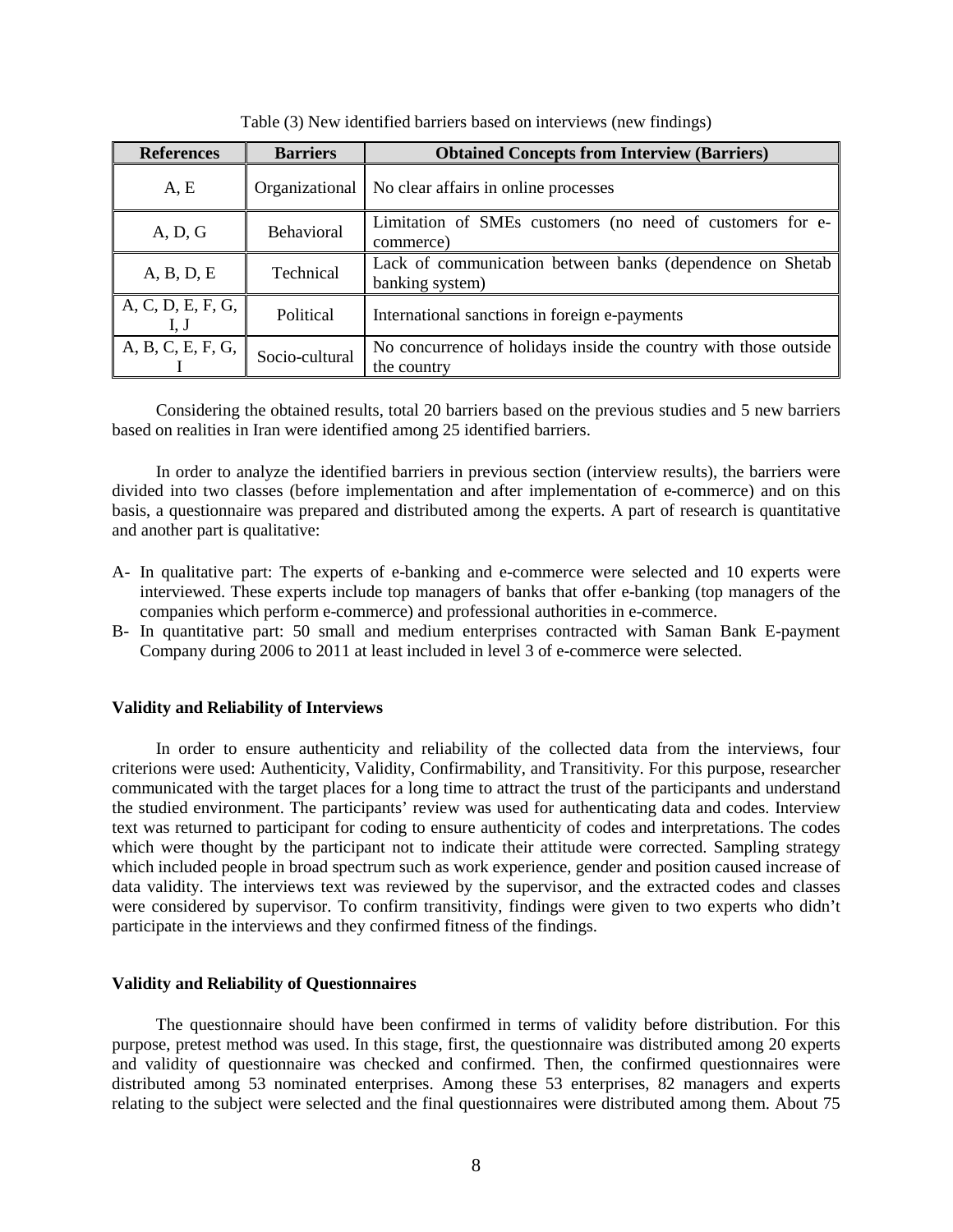| <b>References</b> | <b>Barriers</b>   | <b>Obtained Concepts from Interview (Barriers)</b>                              |
|-------------------|-------------------|---------------------------------------------------------------------------------|
| A, E              |                   | Organizational    No clear affairs in online processes                          |
| A, D, G           | <b>Behavioral</b> | Limitation of SMEs customers (no need of customers for e-<br>commerce)          |
| A, B, D, E        | Technical         | Lack of communication between banks (dependence on Shetab<br>banking system)    |
| A, C, D, E, F, G, | Political         | International sanctions in foreign e-payments                                   |
| A, B, C, E, F, G, | Socio-cultural    | No concurrence of holidays inside the country with those outside<br>the country |

Table (3) New identified barriers based on interviews (new findings)

Considering the obtained results, total 20 barriers based on the previous studies and 5 new barriers based on realities in Iran were identified among 25 identified barriers.

In order to analyze the identified barriers in previous section (interview results), the barriers were divided into two classes (before implementation and after implementation of e-commerce) and on this basis, a questionnaire was prepared and distributed among the experts. A part of research is quantitative and another part is qualitative:

- A- In qualitative part: The experts of e-banking and e-commerce were selected and 10 experts were interviewed. These experts include top managers of banks that offer e-banking (top managers of the companies which perform e-commerce) and professional authorities in e-commerce.
- B- In quantitative part: 50 small and medium enterprises contracted with Saman Bank E-payment Company during 2006 to 2011 at least included in level 3 of e-commerce were selected.

## **Validity and Reliability of Interviews**

In order to ensure authenticity and reliability of the collected data from the interviews, four criterions were used: Authenticity, Validity, Confirmability, and Transitivity. For this purpose, researcher communicated with the target places for a long time to attract the trust of the participants and understand the studied environment. The participants' review was used for authenticating data and codes. Interview text was returned to participant for coding to ensure authenticity of codes and interpretations. The codes which were thought by the participant not to indicate their attitude were corrected. Sampling strategy which included people in broad spectrum such as work experience, gender and position caused increase of data validity. The interviews text was reviewed by the supervisor, and the extracted codes and classes were considered by supervisor. To confirm transitivity, findings were given to two experts who didn't participate in the interviews and they confirmed fitness of the findings.

## **Validity and Reliability of Questionnaires**

The questionnaire should have been confirmed in terms of validity before distribution. For this purpose, pretest method was used. In this stage, first, the questionnaire was distributed among 20 experts and validity of questionnaire was checked and confirmed. Then, the confirmed questionnaires were distributed among 53 nominated enterprises. Among these 53 enterprises, 82 managers and experts relating to the subject were selected and the final questionnaires were distributed among them. About 75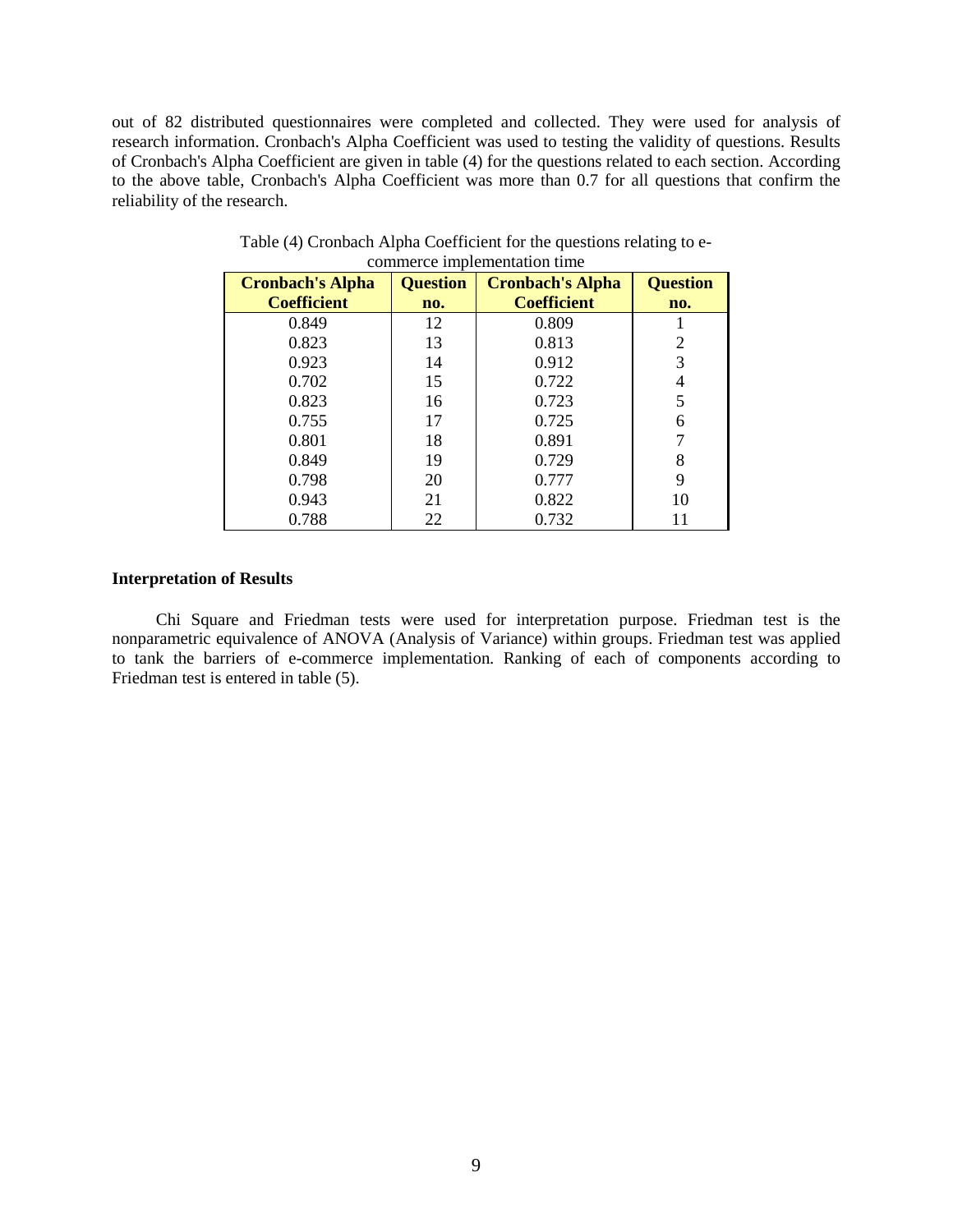out of 82 distributed questionnaires were completed and collected. They were used for analysis of research information. Cronbach's Alpha Coefficient was used to testing the validity of questions. Results of Cronbach's Alpha Coefficient are given in table (4) for the questions related to each section. According to the above table, Cronbach's Alpha Coefficient was more than 0.7 for all questions that confirm the reliability of the research.

| onnineree imprementation time                 |                        |                                               |                        |  |  |  |
|-----------------------------------------------|------------------------|-----------------------------------------------|------------------------|--|--|--|
| <b>Cronbach's Alpha</b><br><b>Coefficient</b> | <b>Question</b><br>no. | <b>Cronbach's Alpha</b><br><b>Coefficient</b> | <b>Question</b><br>no. |  |  |  |
|                                               |                        |                                               |                        |  |  |  |
| 0.849                                         | 12                     | 0.809                                         |                        |  |  |  |
| 0.823                                         | 13                     | 0.813                                         | 2                      |  |  |  |
| 0.923                                         | 14                     | 0.912                                         | 3                      |  |  |  |
| 0.702                                         | 15                     | 0.722                                         | 4                      |  |  |  |
| 0.823                                         | 16                     | 0.723                                         | 5                      |  |  |  |
| 0.755                                         | 17                     | 0.725                                         | 6                      |  |  |  |
| 0.801                                         | 18                     | 0.891                                         |                        |  |  |  |
| 0.849                                         | 19                     | 0.729                                         | 8                      |  |  |  |
| 0.798                                         | 20                     | 0.777                                         | 9                      |  |  |  |
| 0.943                                         | 21                     | 0.822                                         | 10                     |  |  |  |
| 0.788                                         | 22                     | 0.732                                         |                        |  |  |  |

| Table (4) Cronbach Alpha Coefficient for the questions relating to e- |  |
|-----------------------------------------------------------------------|--|
| commerce implementation time                                          |  |

### **Interpretation of Results**

Chi Square and Friedman tests were used for interpretation purpose. Friedman test is the nonparametric equivalence of ANOVA (Analysis of Variance) within groups. Friedman test was applied to tank the barriers of e-commerce implementation. Ranking of each of components according to Friedman test is entered in table (5).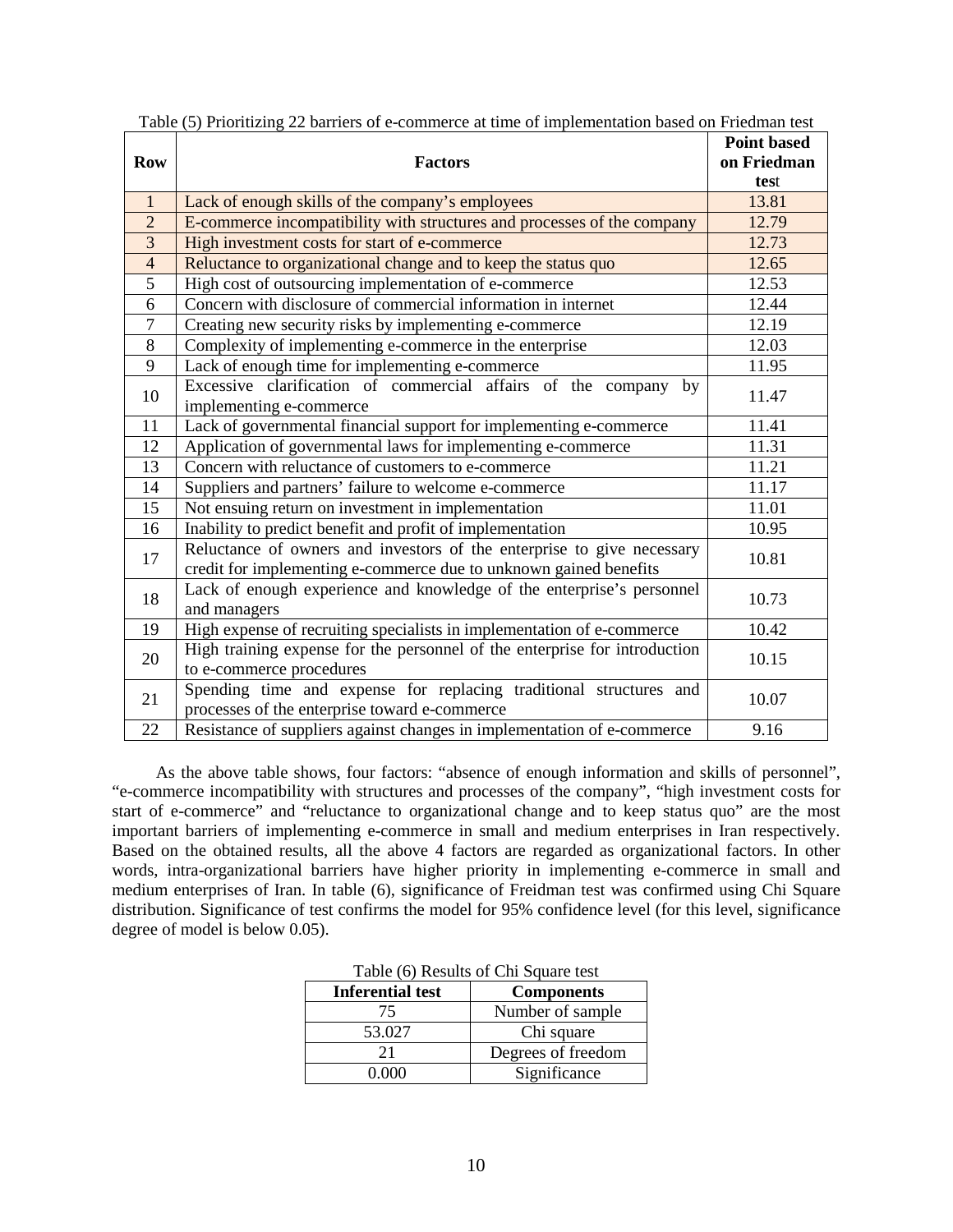|                |                                                                            | <b>Point based</b> |
|----------------|----------------------------------------------------------------------------|--------------------|
| <b>Row</b>     | <b>Factors</b>                                                             | on Friedman        |
|                |                                                                            | test               |
| $\mathbf{1}$   | Lack of enough skills of the company's employees                           | 13.81              |
| $\overline{2}$ | E-commerce incompatibility with structures and processes of the company    | 12.79              |
| 3              | High investment costs for start of e-commerce                              | 12.73              |
| $\overline{4}$ | Reluctance to organizational change and to keep the status quo             | 12.65              |
| 5              | High cost of outsourcing implementation of e-commerce                      | 12.53              |
| 6              | Concern with disclosure of commercial information in internet              | 12.44              |
| $\overline{7}$ | Creating new security risks by implementing e-commerce                     | 12.19              |
| 8              | Complexity of implementing e-commerce in the enterprise                    | 12.03              |
| 9              | Lack of enough time for implementing e-commerce                            | 11.95              |
| 10             | Excessive clarification of commercial affairs of the company<br>by         | 11.47              |
|                | implementing e-commerce                                                    |                    |
| 11             | Lack of governmental financial support for implementing e-commerce         | 11.41              |
| 12             | Application of governmental laws for implementing e-commerce               | 11.31              |
| 13             | Concern with reluctance of customers to e-commerce                         | 11.21              |
| 14             | Suppliers and partners' failure to welcome e-commerce                      | 11.17              |
| 15             | Not ensuing return on investment in implementation                         | 11.01              |
| 16             | Inability to predict benefit and profit of implementation                  | 10.95              |
| 17             | Reluctance of owners and investors of the enterprise to give necessary     | 10.81              |
|                | credit for implementing e-commerce due to unknown gained benefits          |                    |
| 18             | Lack of enough experience and knowledge of the enterprise's personnel      | 10.73              |
|                | and managers                                                               |                    |
| 19             | High expense of recruiting specialists in implementation of e-commerce     | 10.42              |
| 20             | High training expense for the personnel of the enterprise for introduction | 10.15              |
|                | to e-commerce procedures                                                   |                    |
| 21             | Spending time and expense for replacing traditional structures and         | 10.07              |
|                | processes of the enterprise toward e-commerce                              |                    |
| 22             | Resistance of suppliers against changes in implementation of e-commerce    | 9.16               |

Table (5) Prioritizing 22 barriers of e-commerce at time of implementation based on Friedman test

As the above table shows, four factors: "absence of enough information and skills of personnel", "e-commerce incompatibility with structures and processes of the company", "high investment costs for start of e-commerce" and "reluctance to organizational change and to keep status quo" are the most important barriers of implementing e-commerce in small and medium enterprises in Iran respectively. Based on the obtained results, all the above 4 factors are regarded as organizational factors. In other words, intra-organizational barriers have higher priority in implementing e-commerce in small and medium enterprises of Iran. In table (6), significance of Freidman test was confirmed using Chi Square distribution. Significance of test confirms the model for 95% confidence level (for this level, significance degree of model is below 0.05).

| Table (6) Results of Chi Square test |                    |  |
|--------------------------------------|--------------------|--|
| <b>Inferential test</b>              | <b>Components</b>  |  |
| 75                                   | Number of sample.  |  |
| 53.027                               | Chi square         |  |
| 21                                   | Degrees of freedom |  |
| J 000                                | Significance       |  |

| Table (6) Results of Chi Square test |  |  |  |
|--------------------------------------|--|--|--|
|--------------------------------------|--|--|--|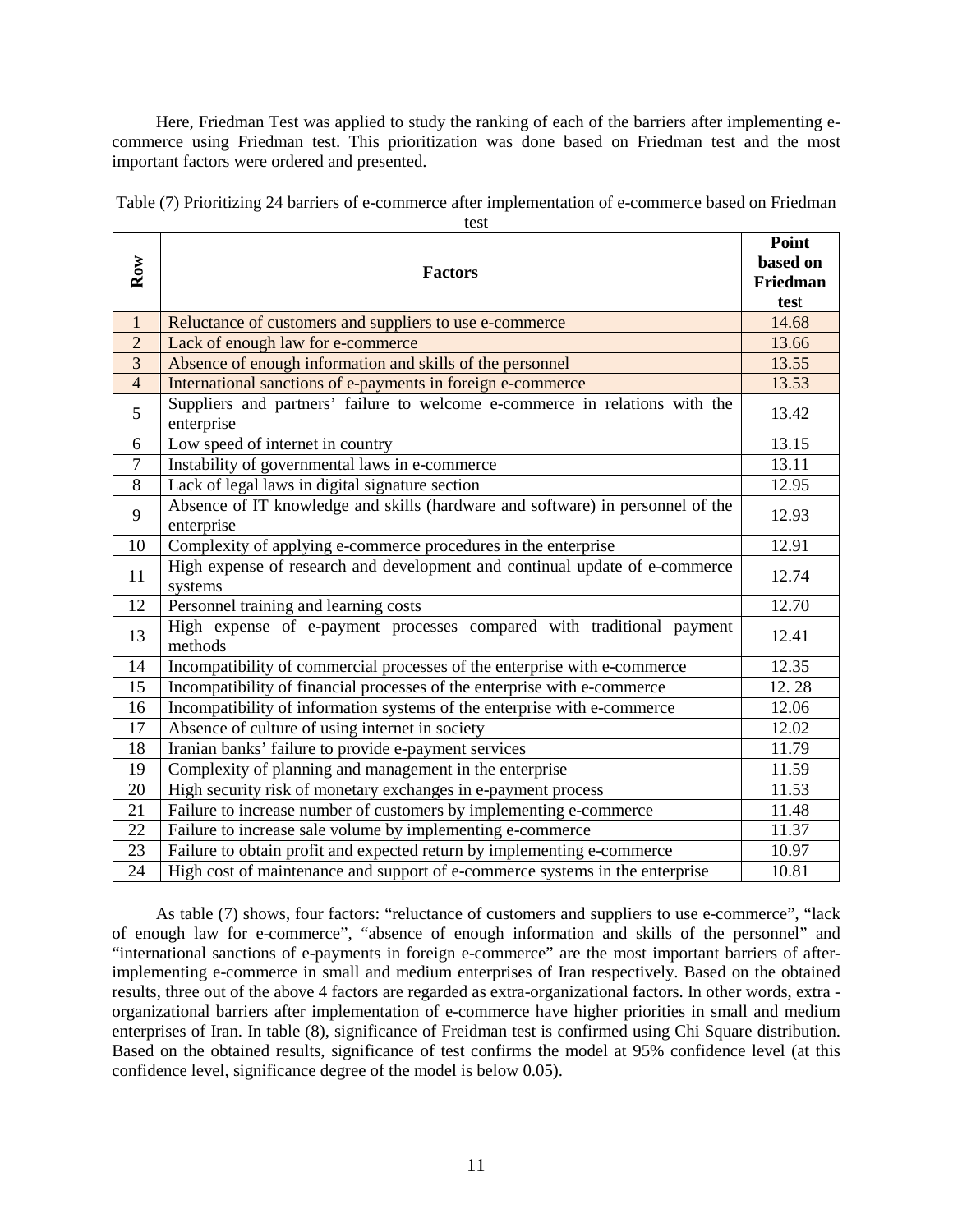Here, Friedman Test was applied to study the ranking of each of the barriers after implementing ecommerce using Friedman test. This prioritization was done based on Friedman test and the most important factors were ordered and presented.

| Table (7) Prioritizing 24 barriers of e-commerce after implementation of e-commerce based on Friedman |  |  |  |  |  |  |
|-------------------------------------------------------------------------------------------------------|--|--|--|--|--|--|
|-------------------------------------------------------------------------------------------------------|--|--|--|--|--|--|

| Row            | <b>Factors</b>                                                                               | Point<br>based on<br>Friedman<br>test |
|----------------|----------------------------------------------------------------------------------------------|---------------------------------------|
| $\mathbf{1}$   | Reluctance of customers and suppliers to use e-commerce                                      | 14.68                                 |
| $\overline{2}$ | Lack of enough law for e-commerce                                                            | 13.66                                 |
| 3              | Absence of enough information and skills of the personnel                                    | 13.55                                 |
| $\overline{4}$ | International sanctions of e-payments in foreign e-commerce                                  | 13.53                                 |
| 5              | Suppliers and partners' failure to welcome e-commerce in relations with the<br>enterprise    | 13.42                                 |
| 6              | Low speed of internet in country                                                             | 13.15                                 |
| $\tau$         | Instability of governmental laws in e-commerce                                               | 13.11                                 |
| $8\,$          | Lack of legal laws in digital signature section                                              | 12.95                                 |
| 9              | Absence of IT knowledge and skills (hardware and software) in personnel of the<br>enterprise | 12.93                                 |
| 10             | Complexity of applying e-commerce procedures in the enterprise                               | 12.91                                 |
| 11             | High expense of research and development and continual update of e-commerce<br>systems       | 12.74                                 |
| 12             | Personnel training and learning costs                                                        | 12.70                                 |
| 13             | High expense of e-payment processes compared with traditional payment<br>methods             | 12.41                                 |
| 14             | Incompatibility of commercial processes of the enterprise with e-commerce                    | 12.35                                 |
| 15             | Incompatibility of financial processes of the enterprise with e-commerce                     | 12.28                                 |
| 16             | Incompatibility of information systems of the enterprise with e-commerce                     | 12.06                                 |
| 17             | Absence of culture of using internet in society                                              | 12.02                                 |
| 18             | Iranian banks' failure to provide e-payment services                                         | 11.79                                 |
| 19             | Complexity of planning and management in the enterprise                                      | 11.59                                 |
| 20             | High security risk of monetary exchanges in e-payment process                                | 11.53                                 |
| 21             | Failure to increase number of customers by implementing e-commerce                           | 11.48                                 |
| 22             | Failure to increase sale volume by implementing e-commerce                                   | 11.37                                 |
| 23             | Failure to obtain profit and expected return by implementing e-commerce                      | 10.97                                 |
| 24             | High cost of maintenance and support of e-commerce systems in the enterprise                 | 10.81                                 |

test

As table (7) shows, four factors: "reluctance of customers and suppliers to use e-commerce", "lack of enough law for e-commerce", "absence of enough information and skills of the personnel" and "international sanctions of e-payments in foreign e-commerce" are the most important barriers of afterimplementing e-commerce in small and medium enterprises of Iran respectively. Based on the obtained results, three out of the above 4 factors are regarded as extra-organizational factors. In other words, extra organizational barriers after implementation of e-commerce have higher priorities in small and medium enterprises of Iran. In table (8), significance of Freidman test is confirmed using Chi Square distribution. Based on the obtained results, significance of test confirms the model at 95% confidence level (at this confidence level, significance degree of the model is below 0.05).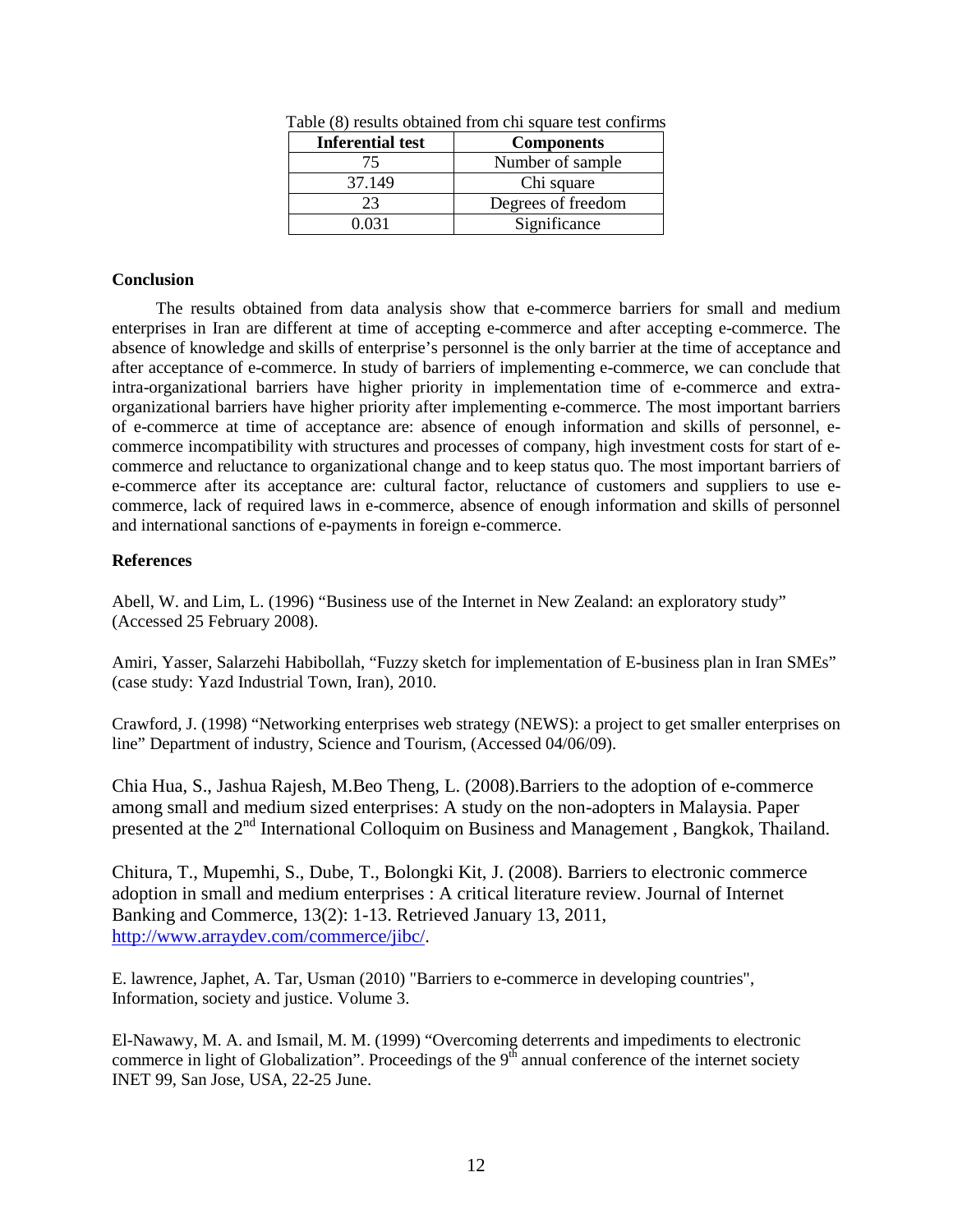| <b>Inferential test</b> | <b>Components</b>  |
|-------------------------|--------------------|
| 75                      | Number of sample   |
| 37.149                  | Chi square         |
| 23                      | Degrees of freedom |
| በ በ31                   | Significance       |

Table (8) results obtained from chi square test confirms

## **Conclusion**

The results obtained from data analysis show that e-commerce barriers for small and medium enterprises in Iran are different at time of accepting e-commerce and after accepting e-commerce. The absence of knowledge and skills of enterprise's personnel is the only barrier at the time of acceptance and after acceptance of e-commerce. In study of barriers of implementing e-commerce, we can conclude that intra-organizational barriers have higher priority in implementation time of e-commerce and extraorganizational barriers have higher priority after implementing e-commerce. The most important barriers of e-commerce at time of acceptance are: absence of enough information and skills of personnel, ecommerce incompatibility with structures and processes of company, high investment costs for start of ecommerce and reluctance to organizational change and to keep status quo. The most important barriers of e-commerce after its acceptance are: cultural factor, reluctance of customers and suppliers to use ecommerce, lack of required laws in e-commerce, absence of enough information and skills of personnel and international sanctions of e-payments in foreign e-commerce.

## **References**

Abell, W. and Lim, L. (1996) "Business use of the Internet in New Zealand: an exploratory study" (Accessed 25 February 2008).

Amiri, Yasser, Salarzehi Habibollah, "Fuzzy sketch for implementation of E-business plan in Iran SMEs" (case study: Yazd Industrial Town, Iran), 2010.

Crawford, J. (1998) "Networking enterprises web strategy (NEWS): a project to get smaller enterprises on line" Department of industry, Science and Tourism, (Accessed 04/06/09).

Chia Hua, S., Jashua Rajesh, M.Beo Theng, L. (2008).Barriers to the adoption of e-commerce among small and medium sized enterprises: A study on the non-adopters in Malaysia. Paper presented at the 2nd International Colloquim on Business and Management , Bangkok, Thailand.

Chitura, T., Mupemhi, S., Dube, T., Bolongki Kit, J. (2008). Barriers to electronic commerce adoption in small and medium enterprises : A critical literature review. Journal of Internet Banking and Commerce, 13(2): 1-13. Retrieved January 13, 2011, [http://www.arraydev.com/commerce/jibc/.](http://www.arraydev.com/commerce/jibc/)

E. lawrence, Japhet, A. Tar, Usman (2010) "Barriers to e-commerce in developing countries", Information, society and justice. Volume 3.

El-Nawawy, M. A. and Ismail, M. M. (1999) "Overcoming deterrents and impediments to electronic commerce in light of Globalization". Proceedings of the  $9<sup>th</sup>$  annual conference of the internet society INET 99, San Jose, USA, 22-25 June.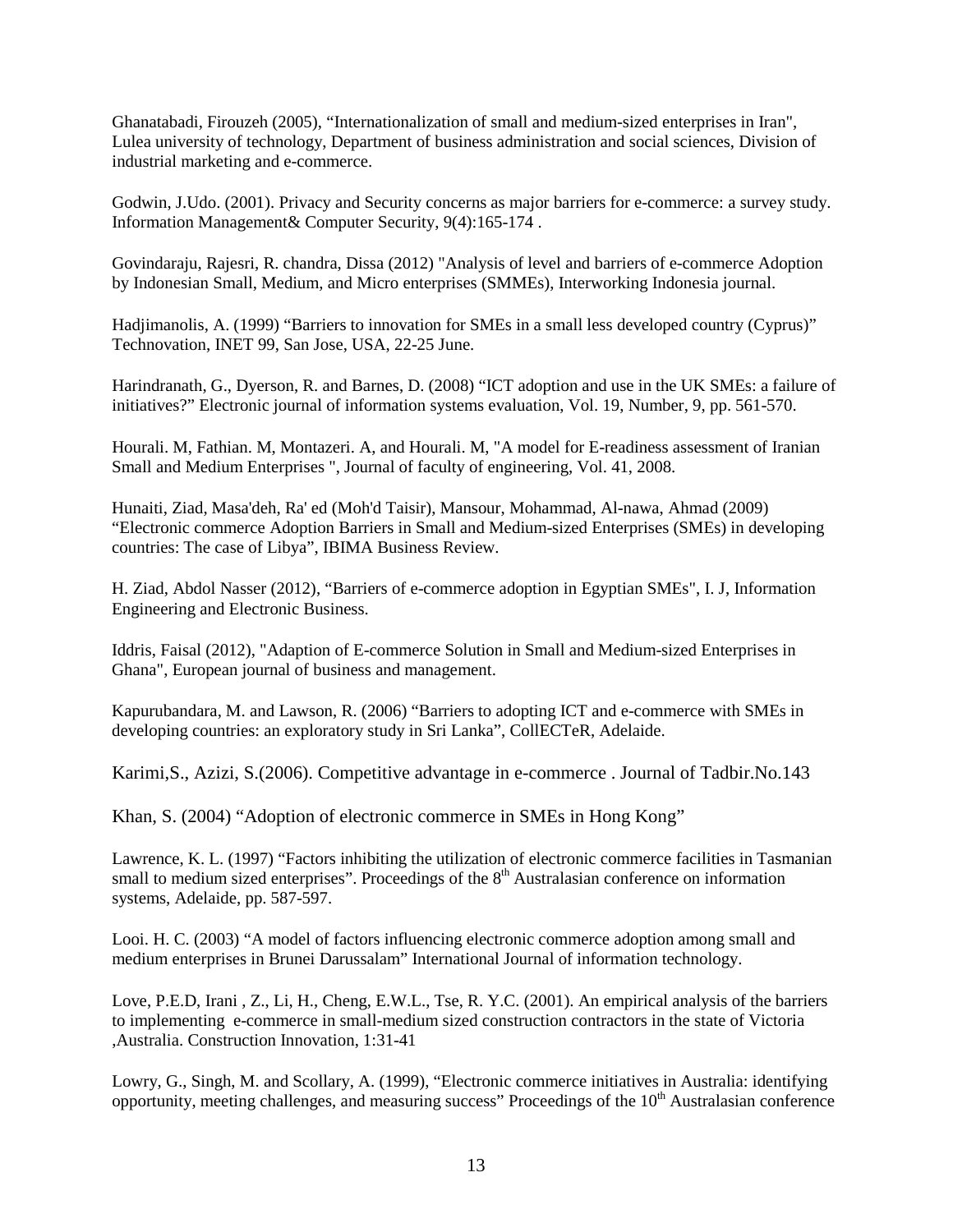Ghanatabadi, Firouzeh (2005), "Internationalization of small and medium-sized enterprises in Iran", Lulea university of technology, Department of business administration and social sciences, Division of industrial marketing and e-commerce.

Godwin, J.Udo. (2001). Privacy and Security concerns as major barriers for e-commerce: a survey study. Information Management& Computer Security, 9(4):165-174 .

Govindaraju, Rajesri, R. chandra, Dissa (2012) "Analysis of level and barriers of e-commerce Adoption by Indonesian Small, Medium, and Micro enterprises (SMMEs), Interworking Indonesia journal.

Hadjimanolis, A. (1999) "Barriers to innovation for SMEs in a small less developed country (Cyprus)" Technovation, INET 99, San Jose, USA, 22-25 June.

Harindranath, G., Dyerson, R. and Barnes, D. (2008) "ICT adoption and use in the UK SMEs: a failure of initiatives?" Electronic journal of information systems evaluation, Vol. 19, Number, 9, pp. 561-570.

Hourali. M, Fathian. M, Montazeri. A, and Hourali. M, "A model for E-readiness assessment of Iranian Small and Medium Enterprises ", Journal of faculty of engineering, Vol. 41, 2008.

Hunaiti, Ziad, Masa'deh, Ra' ed (Moh'd Taisir), Mansour, Mohammad, Al-nawa, Ahmad (2009) "Electronic commerce Adoption Barriers in Small and Medium-sized Enterprises (SMEs) in developing countries: The case of Libya", IBIMA Business Review.

H. Ziad, Abdol Nasser (2012), "Barriers of e-commerce adoption in Egyptian SMEs", I. J, Information Engineering and Electronic Business.

Iddris, Faisal (2012), "Adaption of E-commerce Solution in Small and Medium-sized Enterprises in Ghana", European journal of business and management.

Kapurubandara, M. and Lawson, R. (2006) "Barriers to adopting ICT and e-commerce with SMEs in developing countries: an exploratory study in Sri Lanka", CollECTeR, Adelaide.

Karimi,S., Azizi, S.(2006). Competitive advantage in e-commerce . Journal of Tadbir.No.143

Khan, S. (2004) "Adoption of electronic commerce in SMEs in Hong Kong"

Lawrence, K. L. (1997) "Factors inhibiting the utilization of electronic commerce facilities in Tasmanian small to medium sized enterprises". Proceedings of the  $8<sup>th</sup>$  Australasian conference on information systems, Adelaide, pp. 587-597.

Looi. H. C. (2003) "A model of factors influencing electronic commerce adoption among small and medium enterprises in Brunei Darussalam" International Journal of information technology.

Love, P.E.D, Irani , Z., Li, H., Cheng, E.W.L., Tse, R. Y.C. (2001). An empirical analysis of the barriers to implementing e-commerce in small-medium sized construction contractors in the state of Victoria ,Australia. Construction Innovation, 1:31-41

Lowry, G., Singh, M. and Scollary, A. (1999), "Electronic commerce initiatives in Australia: identifying opportunity, meeting challenges, and measuring success" Proceedings of the 10<sup>th</sup> Australasian conference